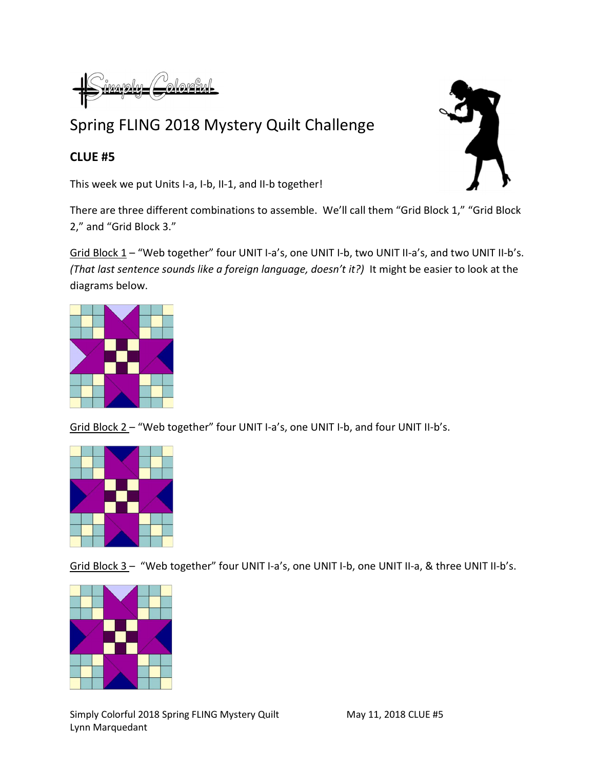$i$ m $\alpha$ p $\alpha$ <u>Lolorsky</u>

## Spring FLING 2018 Mystery Quilt Challenge

## CLUE #5

This week we put Units I-a, I-b, II-1, and II-b together!

There are three different combinations to assemble. We'll call them "Grid Block 1," "Grid Block 2," and "Grid Block 3."

Grid Block 1 - "Web together" four UNIT I-a's, one UNIT I-b, two UNIT II-a's, and two UNIT II-b's. (That last sentence sounds like a foreign language, doesn't it?) It might be easier to look at the diagrams below.



Grid Block 2 – "Web together" four UNIT I-a's, one UNIT I-b, and four UNIT II-b's.



Grid Block 3 - "Web together" four UNIT I-a's, one UNIT I-b, one UNIT II-a, & three UNIT II-b's.



Simply Colorful 2018 Spring FLING Mystery Quilt May 11, 2018 CLUE #5 Lynn Marquedant